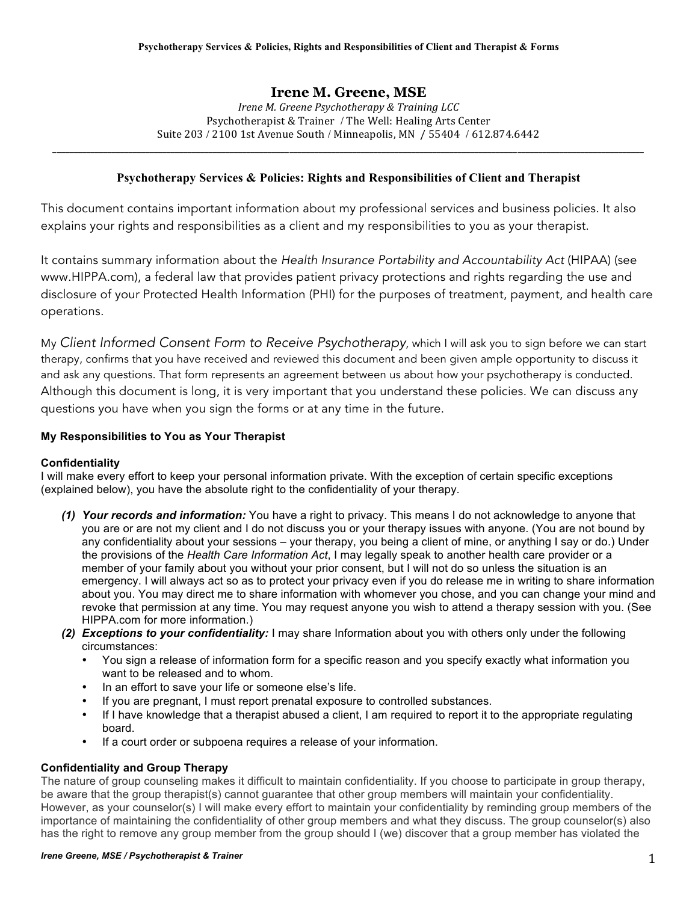# **Irene M. Greene, MSE**

*Irene M. Greene Psychotherapy & Training LCC* Psychotherapist & Trainer / The Well: Healing Arts Center Suite 203 / 2100 1st Avenue South / Minneapolis, MN / 55404 / 612.874.6442

\_\_\_\_\_\_\_\_\_\_\_\_\_\_\_\_\_\_\_\_\_\_\_\_\_\_\_\_\_\_\_\_\_\_\_\_\_\_\_\_\_\_\_\_\_\_\_\_\_\_\_\_\_\_\_\_\_\_\_\_\_\_\_\_\_\_\_\_\_\_\_\_\_\_\_\_\_\_\_\_\_\_\_\_\_\_\_\_\_\_\_\_\_\_\_\_\_\_\_\_\_\_\_\_\_\_\_\_\_\_\_\_\_\_\_\_\_\_\_\_\_\_\_\_\_\_\_\_\_\_\_\_\_\_\_\_\_\_\_\_

## **Psychotherapy Services & Policies: Rights and Responsibilities of Client and Therapist**

This document contains important information about my professional services and business policies. It also explains your rights and responsibilities as a client and my responsibilities to you as your therapist.

It contains summary information about the *Health Insurance Portability and Accountability Act* (HIPAA) (see www.HIPPA.com), a federal law that provides patient privacy protections and rights regarding the use and disclosure of your Protected Health Information (PHI) for the purposes of treatment, payment, and health care operations.

My *Client Informed Consent Form to Receive Psychotherapy,* which I will ask you to sign before we can start therapy, confirms that you have received and reviewed this document and been given ample opportunity to discuss it and ask any questions. That form represents an agreement between us about how your psychotherapy is conducted. Although this document is long, it is very important that you understand these policies. We can discuss any questions you have when you sign the forms or at any time in the future.

## **My Responsibilities to You as Your Therapist**

#### **Confidentiality**

I will make every effort to keep your personal information private. With the exception of certain specific exceptions (explained below), you have the absolute right to the confidentiality of your therapy.

- *(1) Your records and information:* You have a right to privacy. This means I do not acknowledge to anyone that you are or are not my client and I do not discuss you or your therapy issues with anyone. (You are not bound by any confidentiality about your sessions – your therapy, you being a client of mine, or anything I say or do.) Under the provisions of the *Health Care Information Act*, I may legally speak to another health care provider or a member of your family about you without your prior consent, but I will not do so unless the situation is an emergency. I will always act so as to protect your privacy even if you do release me in writing to share information about you. You may direct me to share information with whomever you chose, and you can change your mind and revoke that permission at any time. You may request anyone you wish to attend a therapy session with you. (See HIPPA.com for more information.)
- *(2) Exceptions to your confidentiality:* I may share Information about you with others only under the following circumstances:
	- You sign a release of information form for a specific reason and you specify exactly what information you want to be released and to whom.
	- In an effort to save your life or someone else's life.
	- If you are pregnant, I must report prenatal exposure to controlled substances.
	- If I have knowledge that a therapist abused a client, I am required to report it to the appropriate regulating board.
	- If a court order or subpoena requires a release of your information.

#### **Confidentiality and Group Therapy**

The nature of group counseling makes it difficult to maintain confidentiality. If you choose to participate in group therapy, be aware that the group therapist(s) cannot guarantee that other group members will maintain your confidentiality. However, as your counselor(s) I will make every effort to maintain your confidentiality by reminding group members of the importance of maintaining the confidentiality of other group members and what they discuss. The group counselor(s) also has the right to remove any group member from the group should I (we) discover that a group member has violated the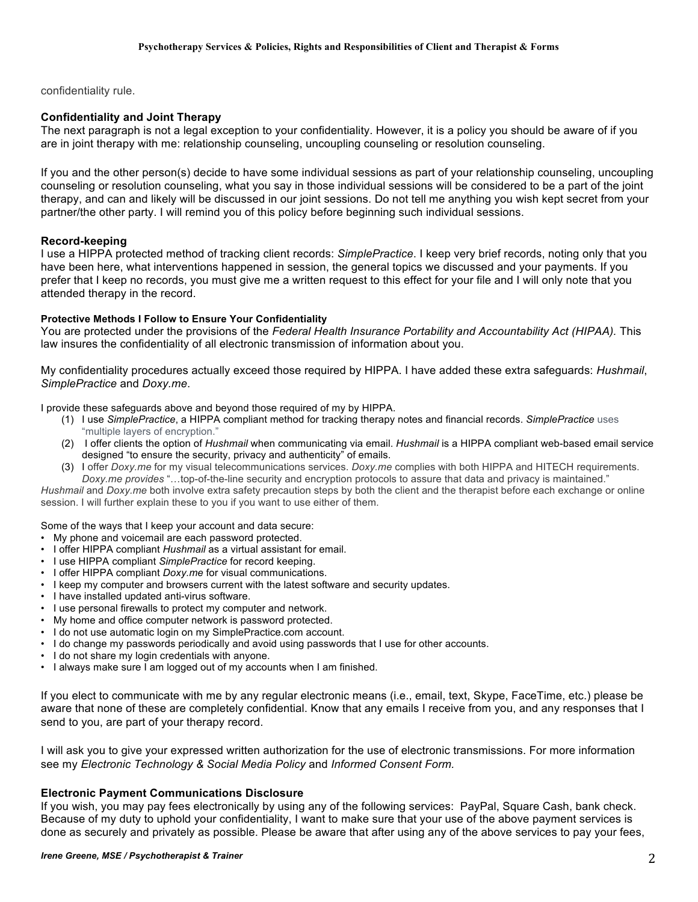confidentiality rule.

### **Confidentiality and Joint Therapy**

The next paragraph is not a legal exception to your confidentiality. However, it is a policy you should be aware of if you are in joint therapy with me: relationship counseling, uncoupling counseling or resolution counseling.

If you and the other person(s) decide to have some individual sessions as part of your relationship counseling, uncoupling counseling or resolution counseling, what you say in those individual sessions will be considered to be a part of the joint therapy, and can and likely will be discussed in our joint sessions. Do not tell me anything you wish kept secret from your partner/the other party. I will remind you of this policy before beginning such individual sessions.

#### **Record-keeping**

I use a HIPPA protected method of tracking client records: *SimplePractice*. I keep very brief records, noting only that you have been here, what interventions happened in session, the general topics we discussed and your payments. If you prefer that I keep no records, you must give me a written request to this effect for your file and I will only note that you attended therapy in the record.

#### **Protective Methods I Follow to Ensure Your Confidentiality**

You are protected under the provisions of the *Federal Health Insurance Portability and Accountability Act (HIPAA).* This law insures the confidentiality of all electronic transmission of information about you.

My confidentiality procedures actually exceed those required by HIPPA. I have added these extra safeguards: *Hushmail*, *SimplePractice* and *Doxy.me*.

I provide these safeguards above and beyond those required of my by HIPPA.

- (1) I use *SimplePractice*, a HIPPA compliant method for tracking therapy notes and financial records. *SimplePractice* uses "multiple layers of encryption."
- (2) I offer clients the option of *Hushmail* when communicating via email. *Hushmail* is a HIPPA compliant web-based email service designed "to ensure the security, privacy and authenticity" of emails.
- (3) I offer *Doxy.me* for my visual telecommunications services. *Doxy.me* complies with both HIPPA and HITECH requirements. *Doxy.me provides* "…top-of-the-line security and encryption protocols to assure that data and privacy is maintained."

*Hushmail* and *Doxy.me* both involve extra safety precaution steps by both the client and the therapist before each exchange or online session. I will further explain these to you if you want to use either of them.

Some of the ways that I keep your account and data secure:

- My phone and voicemail are each password protected.
- I offer HIPPA compliant *Hushmail* as a virtual assistant for email.
- I use HIPPA compliant *SimplePractice* for record keeping.
- I offer HIPPA compliant *Doxy.me* for visual communications.
- I keep my computer and browsers current with the latest software and security updates.
- I have installed updated anti-virus software.
- I use personal firewalls to protect my computer and network.
- My home and office computer network is password protected.
- I do not use automatic login on my SimplePractice.com account.
- I do change my passwords periodically and avoid using passwords that I use for other accounts.
- I do not share my login credentials with anyone.
- I always make sure I am logged out of my accounts when I am finished.

If you elect to communicate with me by any regular electronic means (i.e., email, text, Skype, FaceTime, etc.) please be aware that none of these are completely confidential. Know that any emails I receive from you, and any responses that I send to you, are part of your therapy record.

I will ask you to give your expressed written authorization for the use of electronic transmissions. For more information see my *Electronic Technology & Social Media Policy* and *Informed Consent Form.*

#### **Electronic Payment Communications Disclosure**

If you wish, you may pay fees electronically by using any of the following services: PayPal, Square Cash, bank check. Because of my duty to uphold your confidentiality, I want to make sure that your use of the above payment services is done as securely and privately as possible. Please be aware that after using any of the above services to pay your fees,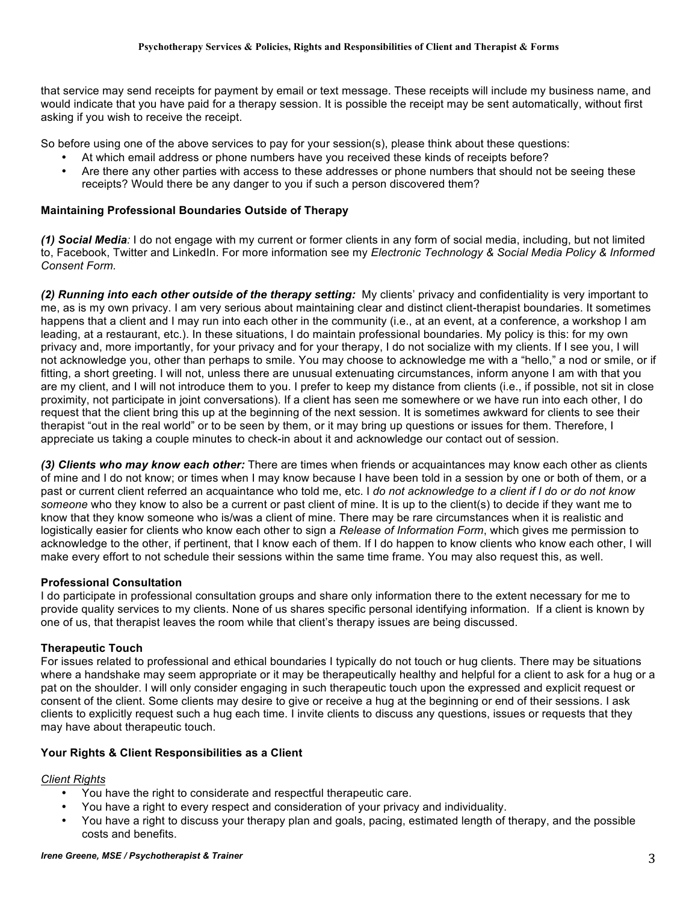that service may send receipts for payment by email or text message. These receipts will include my business name, and would indicate that you have paid for a therapy session. It is possible the receipt may be sent automatically, without first asking if you wish to receive the receipt.

So before using one of the above services to pay for your session(s), please think about these questions:

- At which email address or phone numbers have you received these kinds of receipts before?
- Are there any other parties with access to these addresses or phone numbers that should not be seeing these receipts? Would there be any danger to you if such a person discovered them?

## **Maintaining Professional Boundaries Outside of Therapy**

*(1) Social Media:* I do not engage with my current or former clients in any form of social media, including, but not limited to, Facebook, Twitter and LinkedIn. For more information see my *Electronic Technology & Social Media Policy & Informed Consent Form.*

*(2) Running into each other outside of the therapy setting:* My clients' privacy and confidentiality is very important to me, as is my own privacy. I am very serious about maintaining clear and distinct client-therapist boundaries. It sometimes happens that a client and I may run into each other in the community (i.e., at an event, at a conference, a workshop I am leading, at a restaurant, etc.). In these situations, I do maintain professional boundaries. My policy is this: for my own privacy and, more importantly, for your privacy and for your therapy, I do not socialize with my clients. If I see you, I will not acknowledge you, other than perhaps to smile. You may choose to acknowledge me with a "hello," a nod or smile, or if fitting, a short greeting. I will not, unless there are unusual extenuating circumstances, inform anyone I am with that you are my client, and I will not introduce them to you. I prefer to keep my distance from clients (i.e., if possible, not sit in close proximity, not participate in joint conversations). If a client has seen me somewhere or we have run into each other, I do request that the client bring this up at the beginning of the next session. It is sometimes awkward for clients to see their therapist "out in the real world" or to be seen by them, or it may bring up questions or issues for them. Therefore, I appreciate us taking a couple minutes to check-in about it and acknowledge our contact out of session.

*(3) Clients who may know each other:* There are times when friends or acquaintances may know each other as clients of mine and I do not know; or times when I may know because I have been told in a session by one or both of them, or a past or current client referred an acquaintance who told me, etc. I *do not acknowledge to a client if I do or do not know someone* who they know to also be a current or past client of mine. It is up to the client(s) to decide if they want me to know that they know someone who is/was a client of mine. There may be rare circumstances when it is realistic and logistically easier for clients who know each other to sign a *Release of Information Form*, which gives me permission to acknowledge to the other, if pertinent, that I know each of them. If I do happen to know clients who know each other, I will make every effort to not schedule their sessions within the same time frame. You may also request this, as well.

#### **Professional Consultation**

I do participate in professional consultation groups and share only information there to the extent necessary for me to provide quality services to my clients. None of us shares specific personal identifying information. If a client is known by one of us, that therapist leaves the room while that client's therapy issues are being discussed.

## **Therapeutic Touch**

For issues related to professional and ethical boundaries I typically do not touch or hug clients. There may be situations where a handshake may seem appropriate or it may be therapeutically healthy and helpful for a client to ask for a hug or a pat on the shoulder. I will only consider engaging in such therapeutic touch upon the expressed and explicit request or consent of the client. Some clients may desire to give or receive a hug at the beginning or end of their sessions. I ask clients to explicitly request such a hug each time. I invite clients to discuss any questions, issues or requests that they may have about therapeutic touch.

#### **Your Rights & Client Responsibilities as a Client**

#### *Client Rights*

- You have the right to considerate and respectful therapeutic care.
- You have a right to every respect and consideration of your privacy and individuality.
- You have a right to discuss your therapy plan and goals, pacing, estimated length of therapy, and the possible costs and benefits.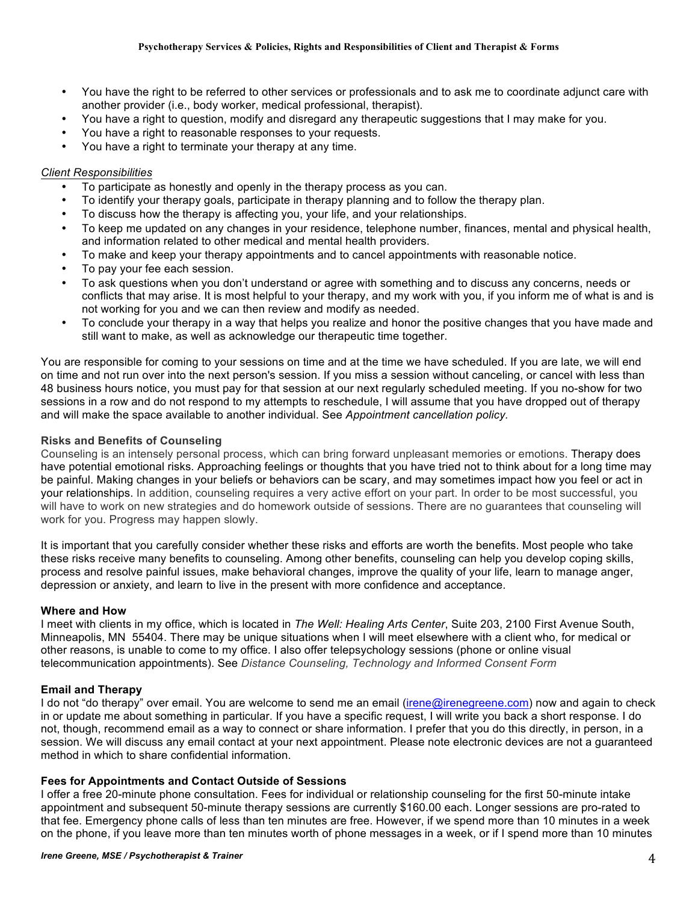- You have the right to be referred to other services or professionals and to ask me to coordinate adjunct care with another provider (i.e., body worker, medical professional, therapist).
- You have a right to question, modify and disregard any therapeutic suggestions that I may make for you.
- You have a right to reasonable responses to your requests.
- You have a right to terminate your therapy at any time.

#### *Client Responsibilities*

- To participate as honestly and openly in the therapy process as you can.
- To identify your therapy goals, participate in therapy planning and to follow the therapy plan.
- To discuss how the therapy is affecting you, your life, and your relationships.
- To keep me updated on any changes in your residence, telephone number, finances, mental and physical health, and information related to other medical and mental health providers.
- To make and keep your therapy appointments and to cancel appointments with reasonable notice.
- To pay your fee each session.
- To ask questions when you don't understand or agree with something and to discuss any concerns, needs or conflicts that may arise. It is most helpful to your therapy, and my work with you, if you inform me of what is and is not working for you and we can then review and modify as needed.
- To conclude your therapy in a way that helps you realize and honor the positive changes that you have made and still want to make, as well as acknowledge our therapeutic time together.

You are responsible for coming to your sessions on time and at the time we have scheduled. If you are late, we will end on time and not run over into the next person's session. If you miss a session without canceling, or cancel with less than 48 business hours notice, you must pay for that session at our next regularly scheduled meeting. If you no-show for two sessions in a row and do not respond to my attempts to reschedule, I will assume that you have dropped out of therapy and will make the space available to another individual. See *Appointment cancellation policy.* 

#### **Risks and Benefits of Counseling**

Counseling is an intensely personal process, which can bring forward unpleasant memories or emotions. Therapy does have potential emotional risks. Approaching feelings or thoughts that you have tried not to think about for a long time may be painful. Making changes in your beliefs or behaviors can be scary, and may sometimes impact how you feel or act in your relationships. In addition, counseling requires a very active effort on your part. In order to be most successful, you will have to work on new strategies and do homework outside of sessions. There are no guarantees that counseling will work for you. Progress may happen slowly.

It is important that you carefully consider whether these risks and efforts are worth the benefits. Most people who take these risks receive many benefits to counseling. Among other benefits, counseling can help you develop coping skills, process and resolve painful issues, make behavioral changes, improve the quality of your life, learn to manage anger, depression or anxiety, and learn to live in the present with more confidence and acceptance.

#### **Where and How**

I meet with clients in my office, which is located in *The Well: Healing Arts Center*, Suite 203, 2100 First Avenue South, Minneapolis, MN 55404. There may be unique situations when I will meet elsewhere with a client who, for medical or other reasons, is unable to come to my office. I also offer telepsychology sessions (phone or online visual telecommunication appointments). See *Distance Counseling, Technology and Informed Consent Form*

#### **Email and Therapy**

I do not "do therapy" over email. You are welcome to send me an email (irene@irenegreene.com) now and again to check in or update me about something in particular. If you have a specific request, I will write you back a short response. I do not, though, recommend email as a way to connect or share information. I prefer that you do this directly, in person, in a session. We will discuss any email contact at your next appointment. Please note electronic devices are not a guaranteed method in which to share confidential information.

#### **Fees for Appointments and Contact Outside of Sessions**

I offer a free 20-minute phone consultation. Fees for individual or relationship counseling for the first 50-minute intake appointment and subsequent 50-minute therapy sessions are currently \$160.00 each. Longer sessions are pro-rated to that fee. Emergency phone calls of less than ten minutes are free. However, if we spend more than 10 minutes in a week on the phone, if you leave more than ten minutes worth of phone messages in a week, or if I spend more than 10 minutes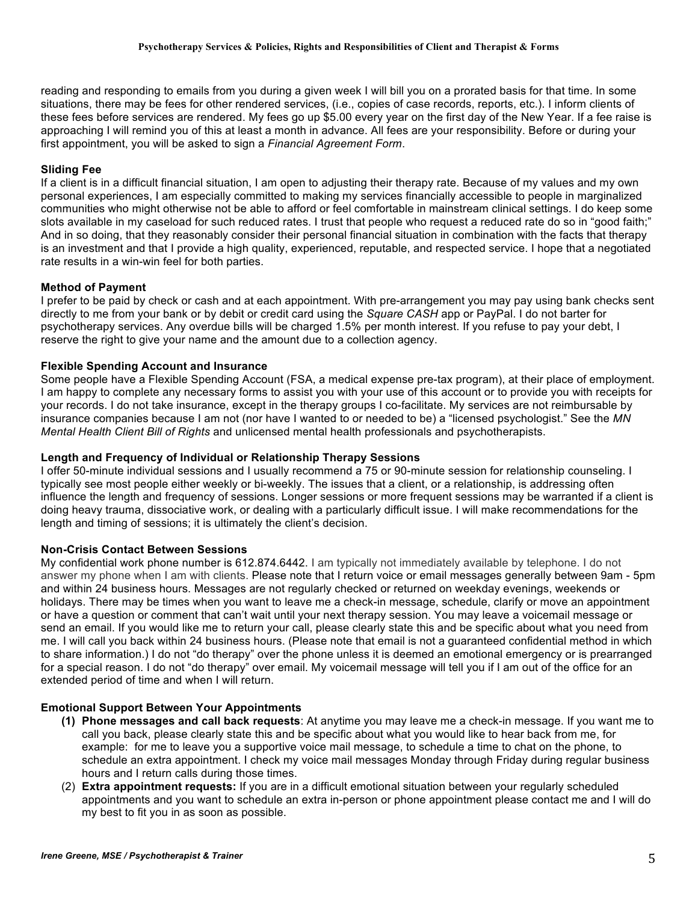reading and responding to emails from you during a given week I will bill you on a prorated basis for that time. In some situations, there may be fees for other rendered services, (i.e., copies of case records, reports, etc.). I inform clients of these fees before services are rendered. My fees go up \$5.00 every year on the first day of the New Year. If a fee raise is approaching I will remind you of this at least a month in advance. All fees are your responsibility. Before or during your first appointment, you will be asked to sign a *Financial Agreement Form*.

## **Sliding Fee**

If a client is in a difficult financial situation, I am open to adjusting their therapy rate. Because of my values and my own personal experiences, I am especially committed to making my services financially accessible to people in marginalized communities who might otherwise not be able to afford or feel comfortable in mainstream clinical settings. I do keep some slots available in my caseload for such reduced rates. I trust that people who request a reduced rate do so in "good faith;" And in so doing, that they reasonably consider their personal financial situation in combination with the facts that therapy is an investment and that I provide a high quality, experienced, reputable, and respected service. I hope that a negotiated rate results in a win-win feel for both parties.

## **Method of Payment**

I prefer to be paid by check or cash and at each appointment. With pre-arrangement you may pay using bank checks sent directly to me from your bank or by debit or credit card using the *Square CASH* app or PayPal. I do not barter for psychotherapy services. Any overdue bills will be charged 1.5% per month interest. If you refuse to pay your debt, I reserve the right to give your name and the amount due to a collection agency.

## **Flexible Spending Account and Insurance**

Some people have a Flexible Spending Account (FSA, a medical expense pre-tax program), at their place of employment. I am happy to complete any necessary forms to assist you with your use of this account or to provide you with receipts for your records. I do not take insurance, except in the therapy groups I co-facilitate. My services are not reimbursable by insurance companies because I am not (nor have I wanted to or needed to be) a "licensed psychologist." See the *MN Mental Health Client Bill of Rights* and unlicensed mental health professionals and psychotherapists.

### **Length and Frequency of Individual or Relationship Therapy Sessions**

I offer 50-minute individual sessions and I usually recommend a 75 or 90-minute session for relationship counseling. I typically see most people either weekly or bi-weekly. The issues that a client, or a relationship, is addressing often influence the length and frequency of sessions. Longer sessions or more frequent sessions may be warranted if a client is doing heavy trauma, dissociative work, or dealing with a particularly difficult issue. I will make recommendations for the length and timing of sessions; it is ultimately the client's decision.

#### **Non-Crisis Contact Between Sessions**

My confidential work phone number is 612.874.6442. I am typically not immediately available by telephone. I do not answer my phone when I am with clients. Please note that I return voice or email messages generally between 9am - 5pm and within 24 business hours. Messages are not regularly checked or returned on weekday evenings, weekends or holidays. There may be times when you want to leave me a check-in message, schedule, clarify or move an appointment or have a question or comment that can't wait until your next therapy session. You may leave a voicemail message or send an email. If you would like me to return your call, please clearly state this and be specific about what you need from me. I will call you back within 24 business hours. (Please note that email is not a guaranteed confidential method in which to share information.) I do not "do therapy" over the phone unless it is deemed an emotional emergency or is prearranged for a special reason. I do not "do therapy" over email. My voicemail message will tell you if I am out of the office for an extended period of time and when I will return.

## **Emotional Support Between Your Appointments**

- **(1) Phone messages and call back requests**: At anytime you may leave me a check-in message. If you want me to call you back, please clearly state this and be specific about what you would like to hear back from me, for example: for me to leave you a supportive voice mail message, to schedule a time to chat on the phone, to schedule an extra appointment. I check my voice mail messages Monday through Friday during regular business hours and I return calls during those times.
- (2) **Extra appointment requests:** If you are in a difficult emotional situation between your regularly scheduled appointments and you want to schedule an extra in-person or phone appointment please contact me and I will do my best to fit you in as soon as possible.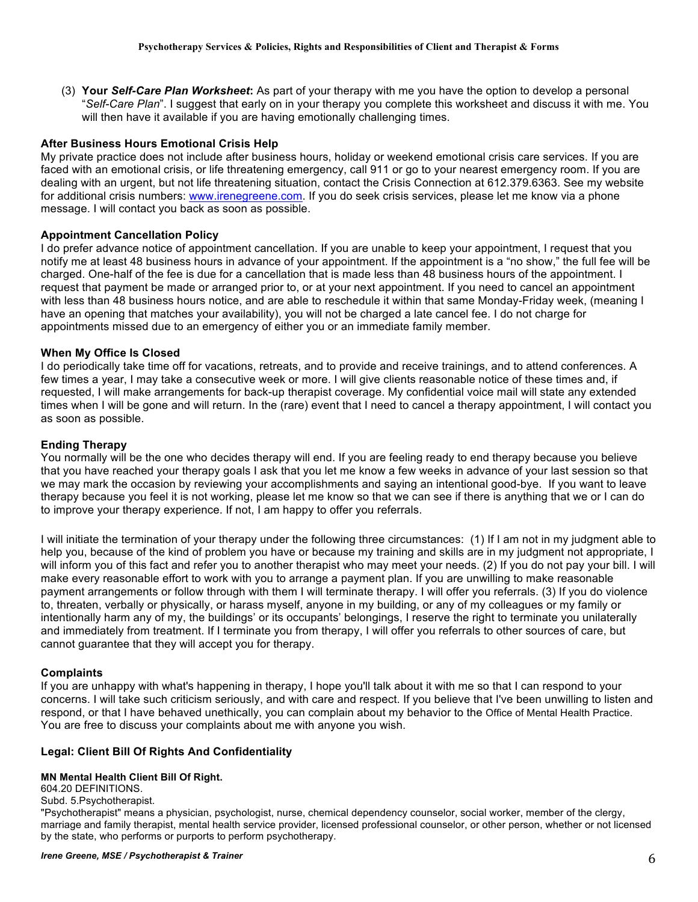(3) **Your** *Self-Care Plan Worksheet***:** As part of your therapy with me you have the option to develop a personal "*Self-Care Plan*". I suggest that early on in your therapy you complete this worksheet and discuss it with me. You will then have it available if you are having emotionally challenging times.

### **After Business Hours Emotional Crisis Help**

My private practice does not include after business hours, holiday or weekend emotional crisis care services. If you are faced with an emotional crisis, or life threatening emergency, call 911 or go to your nearest emergency room. If you are dealing with an urgent, but not life threatening situation, contact the Crisis Connection at 612.379.6363. See my website for additional crisis numbers: www.irenegreene.com. If you do seek crisis services, please let me know via a phone message. I will contact you back as soon as possible.

## **Appointment Cancellation Policy**

I do prefer advance notice of appointment cancellation. If you are unable to keep your appointment, I request that you notify me at least 48 business hours in advance of your appointment. If the appointment is a "no show," the full fee will be charged. One-half of the fee is due for a cancellation that is made less than 48 business hours of the appointment. I request that payment be made or arranged prior to, or at your next appointment. If you need to cancel an appointment with less than 48 business hours notice, and are able to reschedule it within that same Monday-Friday week, (meaning I have an opening that matches your availability), you will not be charged a late cancel fee. I do not charge for appointments missed due to an emergency of either you or an immediate family member.

## **When My Office Is Closed**

I do periodically take time off for vacations, retreats, and to provide and receive trainings, and to attend conferences. A few times a year, I may take a consecutive week or more. I will give clients reasonable notice of these times and, if requested, I will make arrangements for back-up therapist coverage. My confidential voice mail will state any extended times when I will be gone and will return. In the (rare) event that I need to cancel a therapy appointment, I will contact you as soon as possible.

### **Ending Therapy**

You normally will be the one who decides therapy will end. If you are feeling ready to end therapy because you believe that you have reached your therapy goals I ask that you let me know a few weeks in advance of your last session so that we may mark the occasion by reviewing your accomplishments and saying an intentional good-bye. If you want to leave therapy because you feel it is not working, please let me know so that we can see if there is anything that we or I can do to improve your therapy experience. If not, I am happy to offer you referrals.

I will initiate the termination of your therapy under the following three circumstances: (1) If I am not in my judgment able to help you, because of the kind of problem you have or because my training and skills are in my judgment not appropriate, I will inform you of this fact and refer you to another therapist who may meet your needs. (2) If you do not pay your bill. I will make every reasonable effort to work with you to arrange a payment plan. If you are unwilling to make reasonable payment arrangements or follow through with them I will terminate therapy. I will offer you referrals. (3) If you do violence to, threaten, verbally or physically, or harass myself, anyone in my building, or any of my colleagues or my family or intentionally harm any of my, the buildings' or its occupants' belongings, I reserve the right to terminate you unilaterally and immediately from treatment. If I terminate you from therapy, I will offer you referrals to other sources of care, but cannot guarantee that they will accept you for therapy.

#### **Complaints**

If you are unhappy with what's happening in therapy, I hope you'll talk about it with me so that I can respond to your concerns. I will take such criticism seriously, and with care and respect. If you believe that I've been unwilling to listen and respond, or that I have behaved unethically, you can complain about my behavior to the Office of Mental Health Practice. You are free to discuss your complaints about me with anyone you wish.

#### **Legal: Client Bill Of Rights And Confidentiality**

### **MN Mental Health Client Bill Of Right.**

604.20 DEFINITIONS.

Subd. 5.Psychotherapist.

"Psychotherapist" means a physician, psychologist, nurse, chemical dependency counselor, social worker, member of the clergy, marriage and family therapist, mental health service provider, licensed professional counselor, or other person, whether or not licensed by the state, who performs or purports to perform psychotherapy.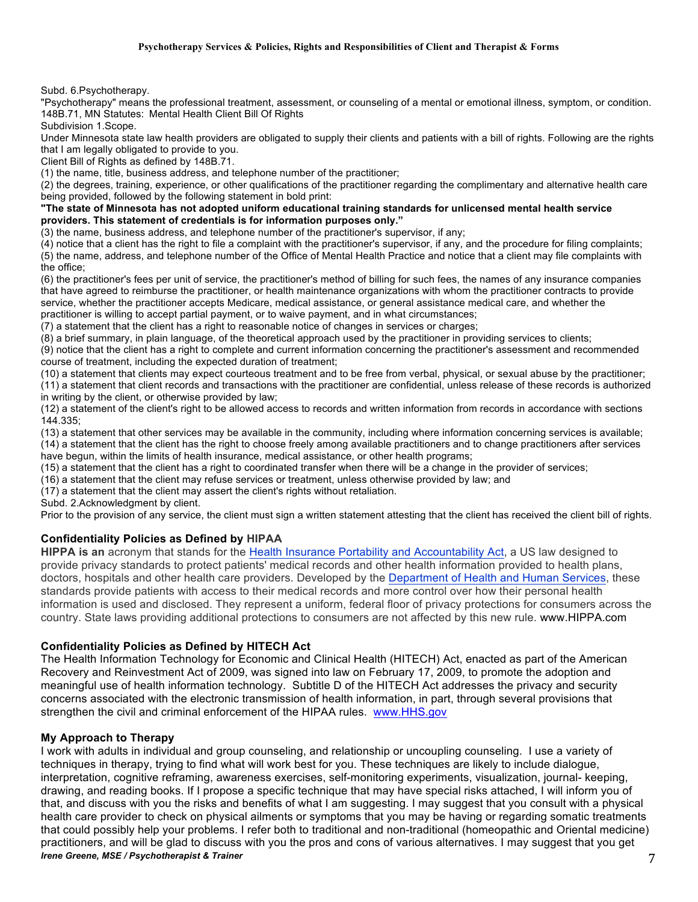Subd. 6.Psychotherapy.

"Psychotherapy" means the professional treatment, assessment, or counseling of a mental or emotional illness, symptom, or condition. 148B.71, MN Statutes: Mental Health Client Bill Of Rights

Subdivision 1.Scope.

Under Minnesota state law health providers are obligated to supply their clients and patients with a bill of rights. Following are the rights that I am legally obligated to provide to you.

Client Bill of Rights as defined by 148B.71.

(1) the name, title, business address, and telephone number of the practitioner;

(2) the degrees, training, experience, or other qualifications of the practitioner regarding the complimentary and alternative health care being provided, followed by the following statement in bold print:

**"The state of Minnesota has not adopted uniform educational training standards for unlicensed mental health service providers. This statement of credentials is for information purposes only."**

(3) the name, business address, and telephone number of the practitioner's supervisor, if any;

(4) notice that a client has the right to file a complaint with the practitioner's supervisor, if any, and the procedure for filing complaints; (5) the name, address, and telephone number of the Office of Mental Health Practice and notice that a client may file complaints with the office;

(6) the practitioner's fees per unit of service, the practitioner's method of billing for such fees, the names of any insurance companies that have agreed to reimburse the practitioner, or health maintenance organizations with whom the practitioner contracts to provide service, whether the practitioner accepts Medicare, medical assistance, or general assistance medical care, and whether the practitioner is willing to accept partial payment, or to waive payment, and in what circumstances;

(7) a statement that the client has a right to reasonable notice of changes in services or charges;

(8) a brief summary, in plain language, of the theoretical approach used by the practitioner in providing services to clients;

(9) notice that the client has a right to complete and current information concerning the practitioner's assessment and recommended course of treatment, including the expected duration of treatment;

(10) a statement that clients may expect courteous treatment and to be free from verbal, physical, or sexual abuse by the practitioner; (11) a statement that client records and transactions with the practitioner are confidential, unless release of these records is authorized in writing by the client, or otherwise provided by law;

(12) a statement of the client's right to be allowed access to records and written information from records in accordance with sections 144.335;

(13) a statement that other services may be available in the community, including where information concerning services is available; (14) a statement that the client has the right to choose freely among available practitioners and to change practitioners after services have begun, within the limits of health insurance, medical assistance, or other health programs;

(15) a statement that the client has a right to coordinated transfer when there will be a change in the provider of services;

(16) a statement that the client may refuse services or treatment, unless otherwise provided by law; and

(17) a statement that the client may assert the client's rights without retaliation.

Subd. 2.Acknowledgment by client.

Prior to the provision of any service, the client must sign a written statement attesting that the client has received the client bill of rights.

#### **Confidentiality Policies as Defined by HIPAA**

**HIPPA is an** acronym that stands for the Health Insurance Portability and Accountability Act, a US law designed to provide privacy standards to protect patients' medical records and other health information provided to health plans, doctors, hospitals and other health care providers. Developed by the Department of Health and Human Services, these standards provide patients with access to their medical records and more control over how their personal health information is used and disclosed. They represent a uniform, federal floor of privacy protections for consumers across the country. State laws providing additional protections to consumers are not affected by this new rule. www.HIPPA.com

#### **Confidentiality Policies as Defined by HITECH Act**

The Health Information Technology for Economic and Clinical Health (HITECH) Act, enacted as part of the American Recovery and Reinvestment Act of 2009, was signed into law on February 17, 2009, to promote the adoption and meaningful use of health information technology. Subtitle D of the HITECH Act addresses the privacy and security concerns associated with the electronic transmission of health information, in part, through several provisions that strengthen the civil and criminal enforcement of the HIPAA rules. www.HHS.gov

#### **My Approach to Therapy**

*Irene Greene, MSE / Psychotherapist & Trainer* 7 I work with adults in individual and group counseling, and relationship or uncoupling counseling. I use a variety of techniques in therapy, trying to find what will work best for you. These techniques are likely to include dialogue, interpretation, cognitive reframing, awareness exercises, self-monitoring experiments, visualization, journal- keeping, drawing, and reading books. If I propose a specific technique that may have special risks attached, I will inform you of that, and discuss with you the risks and benefits of what I am suggesting. I may suggest that you consult with a physical health care provider to check on physical ailments or symptoms that you may be having or regarding somatic treatments that could possibly help your problems. I refer both to traditional and non-traditional (homeopathic and Oriental medicine) practitioners, and will be glad to discuss with you the pros and cons of various alternatives. I may suggest that you get